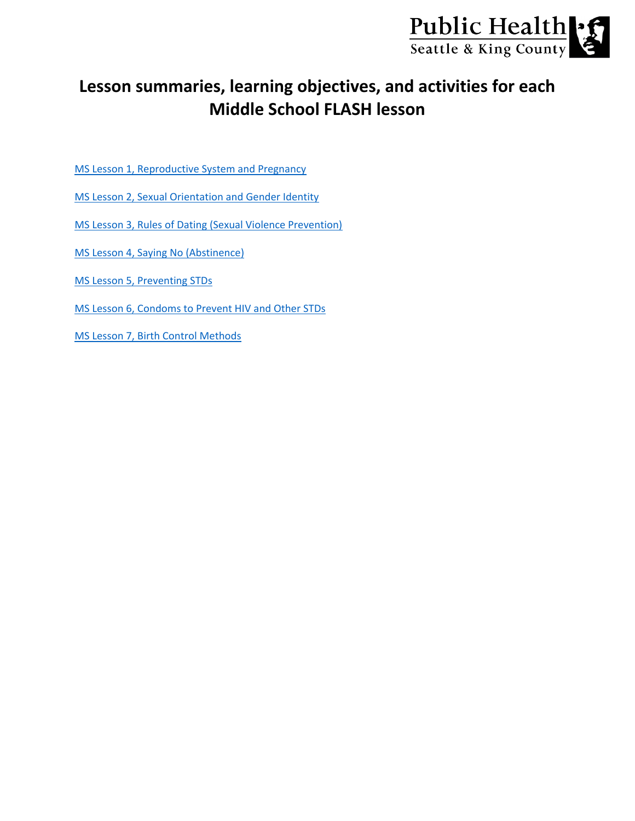

# **Lesson summaries, learning objectives, and activities for each Middle School FLASH lesson**

- [MS Lesson 1, Reproductive System and Pregnancy](#page-1-0)
- [MS Lesson 2, Sexual Orientation and Gender Identity](#page-2-0)
- [MS Lesson 3, Rules of Dating \(Sexual Violence Prevention\)](#page-3-0)
- [MS Lesson 4, Saying No \(Abstinence\)](#page-4-0)
- [MS Lesson 5, Preventing STDs](#page-5-0)
- [MS Lesson 6, Condoms to Prevent HIV and Other STDs](#page-6-0)
- [MS Lesson 7, Birth Control Methods](#page-7-0)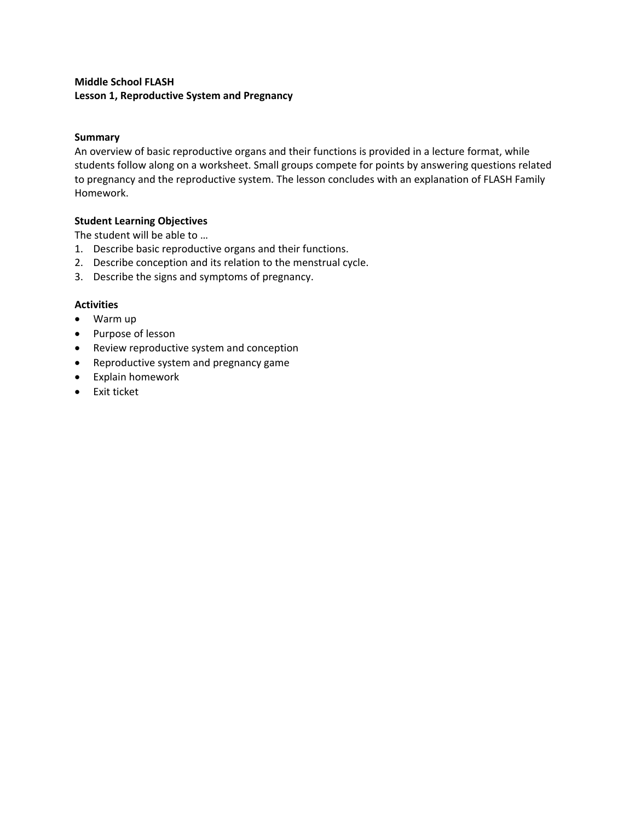# <span id="page-1-0"></span>**Middle School FLASH Lesson 1, Reproductive System and Pregnancy**

## **Summary**

An overview of basic reproductive organs and their functions is provided in a lecture format, while students follow along on a worksheet. Small groups compete for points by answering questions related to pregnancy and the reproductive system. The lesson concludes with an explanation of FLASH Family Homework.

## **Student Learning Objectives**

The student will be able to …

- 1. Describe basic reproductive organs and their functions.
- 2. Describe conception and its relation to the menstrual cycle.
- 3. Describe the signs and symptoms of pregnancy.

- Warm up
- Purpose of lesson
- Review reproductive system and conception
- Reproductive system and pregnancy game
- Explain homework
- Exit ticket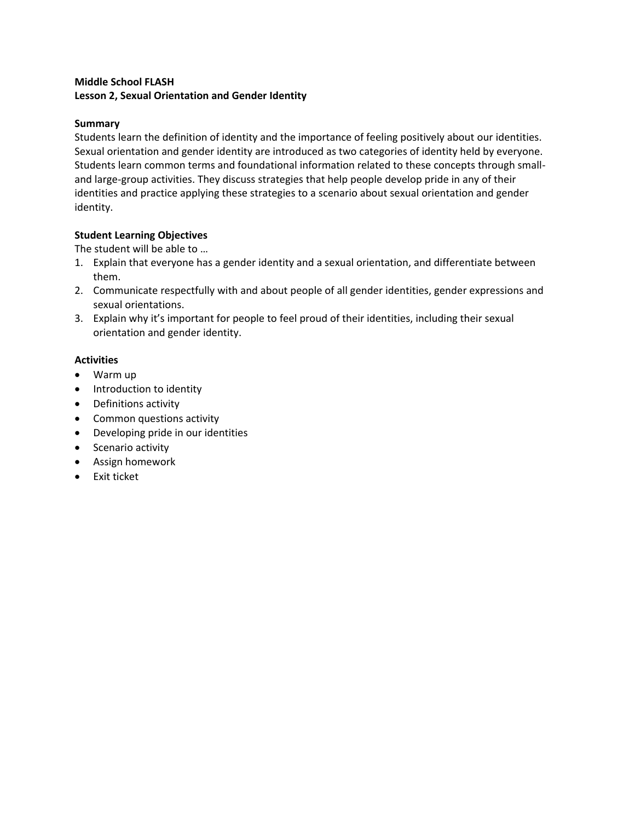# <span id="page-2-0"></span>**Middle School FLASH Lesson 2, Sexual Orientation and Gender Identity**

## **Summary**

Students learn the definition of identity and the importance of feeling positively about our identities. Sexual orientation and gender identity are introduced as two categories of identity held by everyone. Students learn common terms and foundational information related to these concepts through smalland large-group activities. They discuss strategies that help people develop pride in any of their identities and practice applying these strategies to a scenario about sexual orientation and gender identity.

## **Student Learning Objectives**

The student will be able to …

- 1. Explain that everyone has a gender identity and a sexual orientation, and differentiate between them.
- 2. Communicate respectfully with and about people of all gender identities, gender expressions and sexual orientations.
- 3. Explain why it's important for people to feel proud of their identities, including their sexual orientation and gender identity.

- Warm up
- Introduction to identity
- Definitions activity
- Common questions activity
- Developing pride in our identities
- Scenario activity
- Assign homework
- Exit ticket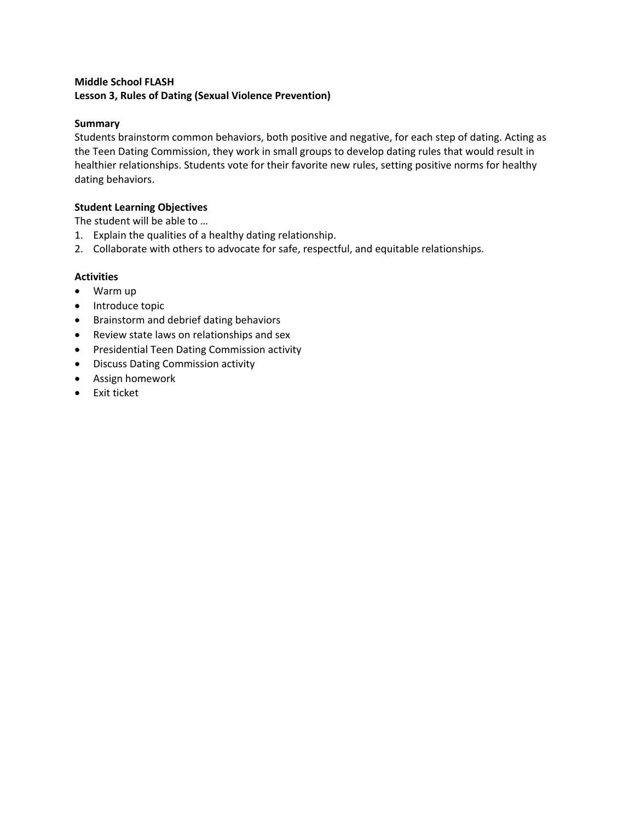# <span id="page-3-0"></span>**Middle School FLASH Lesson 3, Rules of Dating (Sexual Violence Prevention)**

## **Summary**

Students brainstorm common behaviors, both positive and negative, for each step of dating. Acting as the Teen Dating Commission, they work in small groups to develop dating rules that would result in healthier relationships. Students vote for their favorite new rules, setting positive norms for healthy dating behaviors.

# **Student Learning Objectives**

The student will be able to …

- 1. Explain the qualities of a healthy dating relationship.
- 2. Collaborate with others to advocate for safe, respectful, and equitable relationships.

- Warm up
- Introduce topic
- Brainstorm and debrief dating behaviors
- Review state laws on relationships and sex
- Presidential Teen Dating Commission activity
- Discuss Dating Commission activity
- Assign homework
- Exit ticket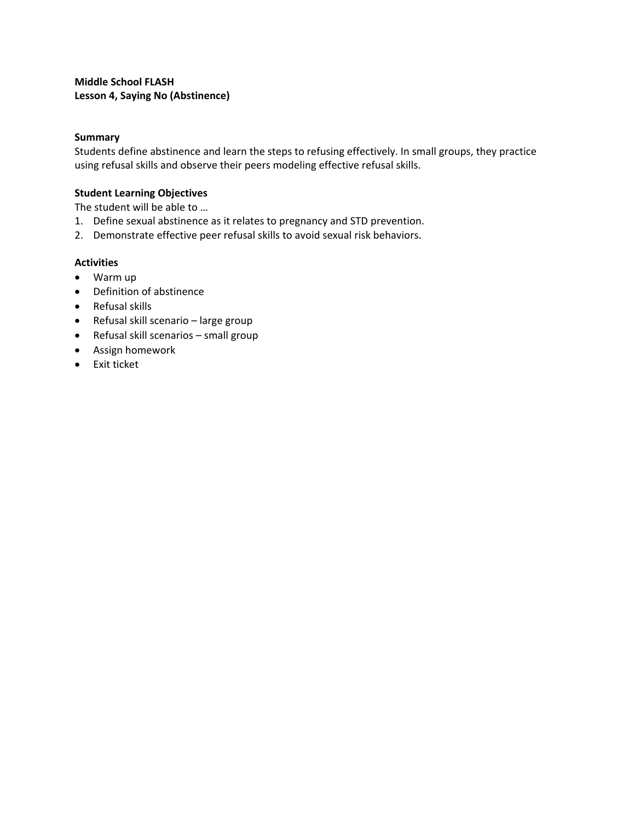<span id="page-4-0"></span>**Middle School FLASH Lesson 4, Saying No (Abstinence)**

#### **Summary**

Students define abstinence and learn the steps to refusing effectively. In small groups, they practice using refusal skills and observe their peers modeling effective refusal skills.

#### **Student Learning Objectives**

The student will be able to …

- 1. Define sexual abstinence as it relates to pregnancy and STD prevention.
- 2. Demonstrate effective peer refusal skills to avoid sexual risk behaviors.

- Warm up
- Definition of abstinence
- Refusal skills
- Refusal skill scenario large group
- Refusal skill scenarios small group
- Assign homework
- Exit ticket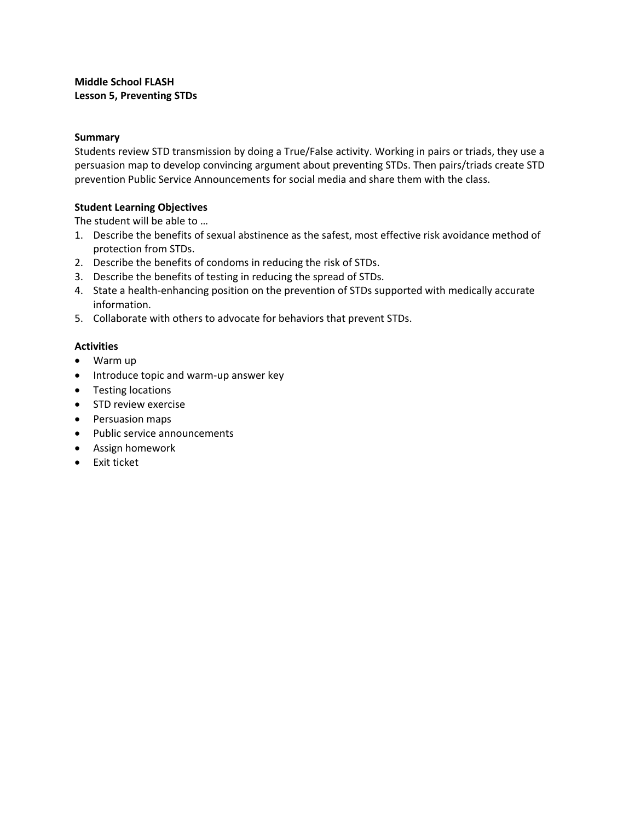## <span id="page-5-0"></span>**Summary**

Students review STD transmission by doing a True/False activity. Working in pairs or triads, they use a persuasion map to develop convincing argument about preventing STDs. Then pairs/triads create STD prevention Public Service Announcements for social media and share them with the class.

## **Student Learning Objectives**

The student will be able to …

- 1. Describe the benefits of sexual abstinence as the safest, most effective risk avoidance method of protection from STDs.
- 2. Describe the benefits of condoms in reducing the risk of STDs.
- 3. Describe the benefits of testing in reducing the spread of STDs.
- 4. State a health-enhancing position on the prevention of STDs supported with medically accurate information.
- 5. Collaborate with others to advocate for behaviors that prevent STDs.

- Warm up
- Introduce topic and warm-up answer key
- Testing locations
- STD review exercise
- Persuasion maps
- Public service announcements
- Assign homework
- Exit ticket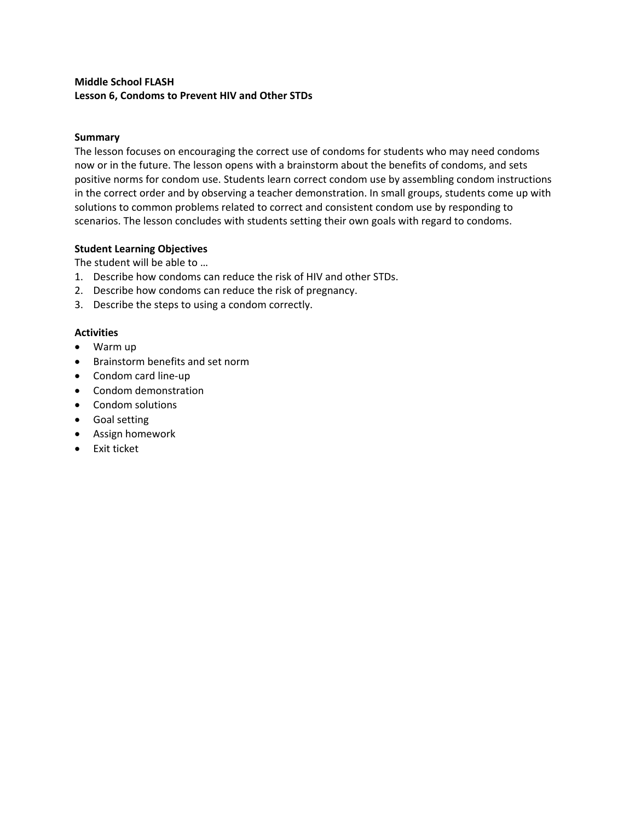# <span id="page-6-0"></span>**Middle School FLASH Lesson 6, Condoms to Prevent HIV and Other STDs**

## **Summary**

The lesson focuses on encouraging the correct use of condoms for students who may need condoms now or in the future. The lesson opens with a brainstorm about the benefits of condoms, and sets positive norms for condom use. Students learn correct condom use by assembling condom instructions in the correct order and by observing a teacher demonstration. In small groups, students come up with solutions to common problems related to correct and consistent condom use by responding to scenarios. The lesson concludes with students setting their own goals with regard to condoms.

## **Student Learning Objectives**

The student will be able to …

- 1. Describe how condoms can reduce the risk of HIV and other STDs.
- 2. Describe how condoms can reduce the risk of pregnancy.
- 3. Describe the steps to using a condom correctly.

- Warm up
- Brainstorm benefits and set norm
- Condom card line-up
- Condom demonstration
- Condom solutions
- Goal setting
- Assign homework
- Exit ticket